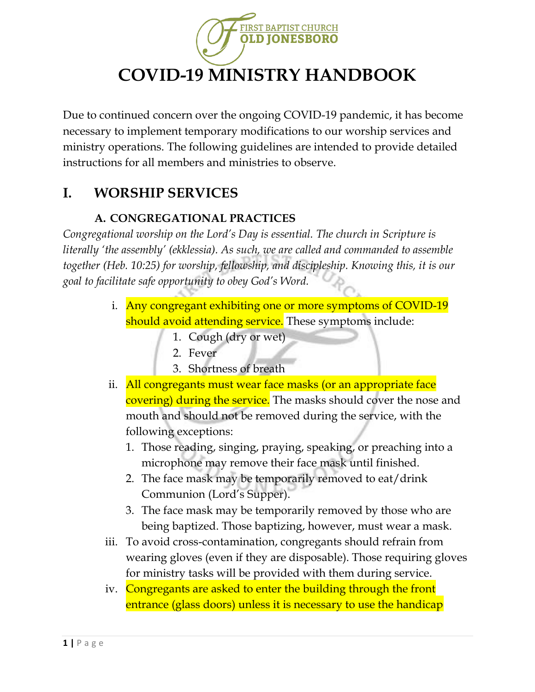

Due to continued concern over the ongoing COVID-19 pandemic, it has become necessary to implement temporary modifications to our worship services and ministry operations. The following guidelines are intended to provide detailed instructions for all members and ministries to observe.

# **I. WORSHIP SERVICES**

#### **A. CONGREGATIONAL PRACTICES**

*Congregational worship on the Lord's Day is essential. The church in Scripture is literally 'the assembly' (ekklessia). As such, we are called and commanded to assemble together (Heb. 10:25) for worship, fellowship, and discipleship. Knowing this, it is our goal to facilitate safe opportunity to obey God's Word.* 

- i. Any congregant exhibiting one or more symptoms of COVID-19 should avoid attending service. These symptoms include:
	- 1. Cough (dry or wet)
	- 2. Fever
	- 3. Shortness of breath
- ii. All congregants must wear face masks (or an appropriate face covering) during the service. The masks should cover the nose and mouth and should not be removed during the service, with the following exceptions:
	- 1. Those reading, singing, praying, speaking, or preaching into a microphone may remove their face mask until finished.
	- 2. The face mask may be temporarily removed to eat/drink Communion (Lord's Supper).
	- 3. The face mask may be temporarily removed by those who are being baptized. Those baptizing, however, must wear a mask.
- iii. To avoid cross-contamination, congregants should refrain from wearing gloves (even if they are disposable). Those requiring gloves for ministry tasks will be provided with them during service.
- iv. Congregants are asked to enter the building through the front entrance (glass doors) unless it is necessary to use the handicap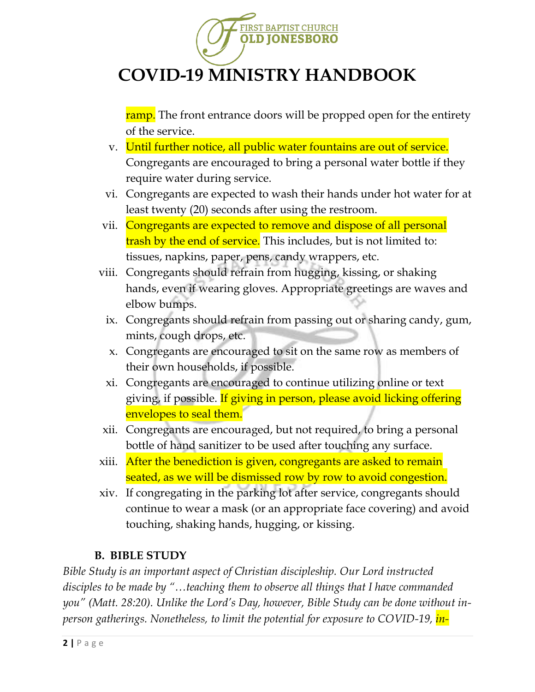

ramp. The front entrance doors will be propped open for the entirety of the service.

- v. Until further notice, all public water fountains are out of service. Congregants are encouraged to bring a personal water bottle if they require water during service.
- vi. Congregants are expected to wash their hands under hot water for at least twenty (20) seconds after using the restroom.
- vii. Congregants are expected to remove and dispose of all personal trash by the end of service. This includes, but is not limited to: tissues, napkins, paper, pens, candy wrappers, etc.
- viii. Congregants should refrain from hugging, kissing, or shaking hands, even if wearing gloves. Appropriate greetings are waves and elbow bumps.
	- ix. Congregants should refrain from passing out or sharing candy, gum, mints, cough drops, etc.
	- x. Congregants are encouraged to sit on the same row as members of their own households, if possible.
	- xi. Congregants are encouraged to continue utilizing online or text giving, if possible. If giving in person, please avoid licking offering envelopes to seal them.
- xii. Congregants are encouraged, but not required, to bring a personal bottle of hand sanitizer to be used after touching any surface.
- xiii. After the benediction is given, congregants are asked to remain seated, as we will be dismissed row by row to avoid congestion.
- xiv. If congregating in the parking lot after service, congregants should continue to wear a mask (or an appropriate face covering) and avoid touching, shaking hands, hugging, or kissing.

#### **B. BIBLE STUDY**

*Bible Study is an important aspect of Christian discipleship. Our Lord instructed disciples to be made by "…teaching them to observe all things that I have commanded you" (Matt. 28:20). Unlike the Lord's Day, however, Bible Study can be done without inperson gatherings. Nonetheless, to limit the potential for exposure to COVID-19, in-*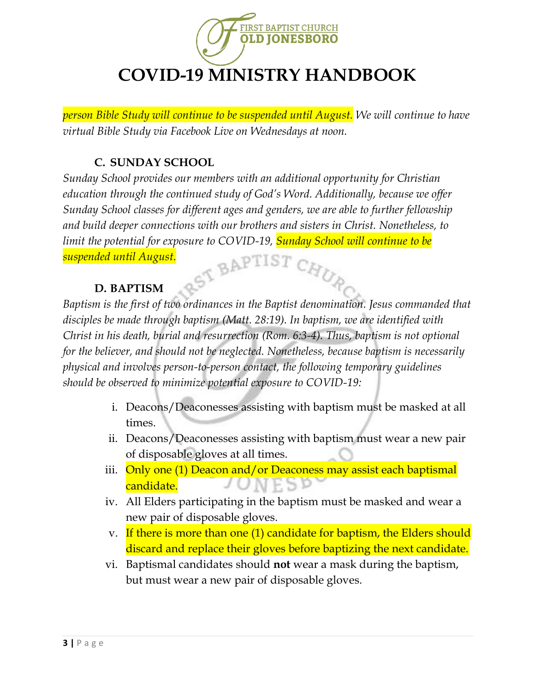

*person Bible Study will continue to be suspended until August. We will continue to have virtual Bible Study via Facebook Live on Wednesdays at noon.*

#### **C. SUNDAY SCHOOL**

*Sunday School provides our members with an additional opportunity for Christian education through the continued study of God's Word. Additionally, because we offer Sunday School classes for different ages and genders, we are able to further fellowship and build deeper connections with our brothers and sisters in Christ. Nonetheless, to limit the potential for exposure to COVID-19, Sunday School will continue to be suspended until August.* ST BAPTIST CHUR

#### **D. BAPTISM**

*Baptism is the first of two ordinances in the Baptist denomination. Jesus commanded that disciples be made through baptism (Matt. 28:19). In baptism, we are identified with Christ in his death, burial and resurrection (Rom. 6:3-4). Thus, baptism is not optional for the believer, and should not be neglected. Nonetheless, because baptism is necessarily physical and involves person-to-person contact, the following temporary guidelines should be observed to minimize potential exposure to COVID-19:*

- i. Deacons/Deaconesses assisting with baptism must be masked at all times.
- ii. Deacons/Deaconesses assisting with baptism must wear a new pair of disposable gloves at all times.
- iii. Only one (1) Deacon and/or Deaconess may assist each baptismal candidate.
- iv. All Elders participating in the baptism must be masked and wear a new pair of disposable gloves.
- v. If there is more than one (1) candidate for baptism, the Elders should discard and replace their gloves before baptizing the next candidate.
- vi. Baptismal candidates should **not** wear a mask during the baptism, but must wear a new pair of disposable gloves.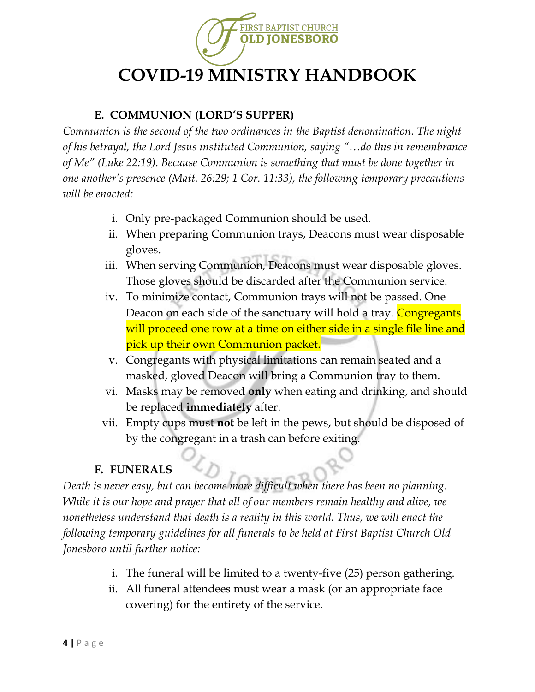

### **E. COMMUNION (LORD'S SUPPER)**

*Communion is the second of the two ordinances in the Baptist denomination. The night of his betrayal, the Lord Jesus instituted Communion, saying "…do this in remembrance of Me" (Luke 22:19). Because Communion is something that must be done together in one another's presence (Matt. 26:29; 1 Cor. 11:33), the following temporary precautions will be enacted:*

- i. Only pre-packaged Communion should be used.
- ii. When preparing Communion trays, Deacons must wear disposable gloves.
- iii. When serving Communion, Deacons must wear disposable gloves. Those gloves should be discarded after the Communion service.
- iv. To minimize contact, Communion trays will not be passed. One Deacon on each side of the sanctuary will hold a tray. Congregants will proceed one row at a time on either side in a single file line and pick up their own Communion packet.
- v. Congregants with physical limitations can remain seated and a masked, gloved Deacon will bring a Communion tray to them.
- vi. Masks may be removed **only** when eating and drinking, and should be replaced **immediately** after.
- vii. Empty cups must **not** be left in the pews, but should be disposed of by the congregant in a trash can before exiting.

## **F. FUNERALS**

*Death is never easy, but can become more difficult when there has been no planning. While it is our hope and prayer that all of our members remain healthy and alive, we nonetheless understand that death is a reality in this world. Thus, we will enact the following temporary guidelines for all funerals to be held at First Baptist Church Old Jonesboro until further notice:*

- i. The funeral will be limited to a twenty-five (25) person gathering.
- ii. All funeral attendees must wear a mask (or an appropriate face covering) for the entirety of the service.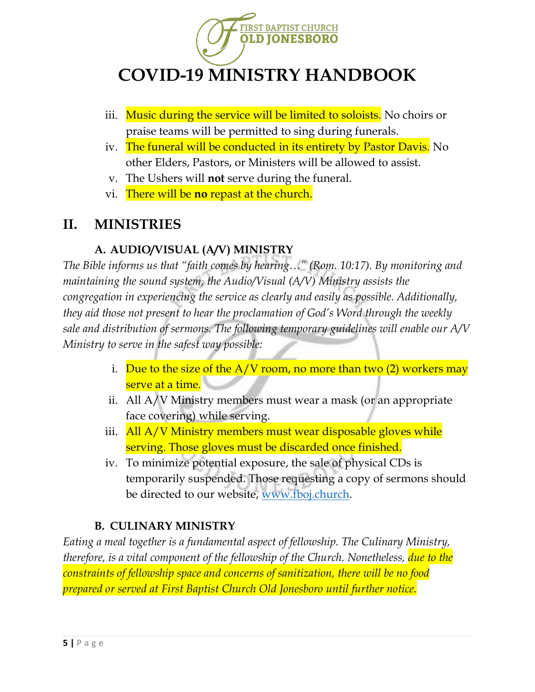

- iii. Music during the service will be limited to soloists. No choirs or praise teams will be permitted to sing during funerals.
- iv. The funeral will be conducted in its entirety by Pastor Davis. No other Elders, Pastors, or Ministers will be allowed to assist.
- v. The Ushers will **not** serve during the funeral.
- vi. There will be **no** repast at the church.

## **II. MINISTRIES**

#### **A. AUDIO/VISUAL (A/V) MINISTRY**

*The Bible informs us that "faith comes by hearing…" (Rom. 10:17). By monitoring and maintaining the sound system, the Audio/Visual (A/V) Ministry assists the congregation in experiencing the service as clearly and easily as possible. Additionally, they aid those not present to hear the proclamation of God's Word through the weekly sale and distribution of sermons. The following temporary guidelines will enable our A/V Ministry to serve in the safest way possible:*

- i. Due to the size of the  $A/V$  room, no more than two (2) workers may serve at a time.
- ii. All A/V Ministry members must wear a mask (or an appropriate face covering) while serving.
- iii. All A/V Ministry members must wear disposable gloves while serving. Those gloves must be discarded once finished.
- iv. To minimize potential exposure, the sale of physical CDs is temporarily suspended. Those requesting a copy of sermons should be directed to our website, [www.fboj.church.](http://www.fboj.church/)

#### **B. CULINARY MINISTRY**

*Eating a meal together is a fundamental aspect of fellowship. The Culinary Ministry, therefore, is a vital component of the fellowship of the Church. Nonetheless, due to the constraints of fellowship space and concerns of sanitization, there will be no food prepared or served at First Baptist Church Old Jonesboro until further notice.*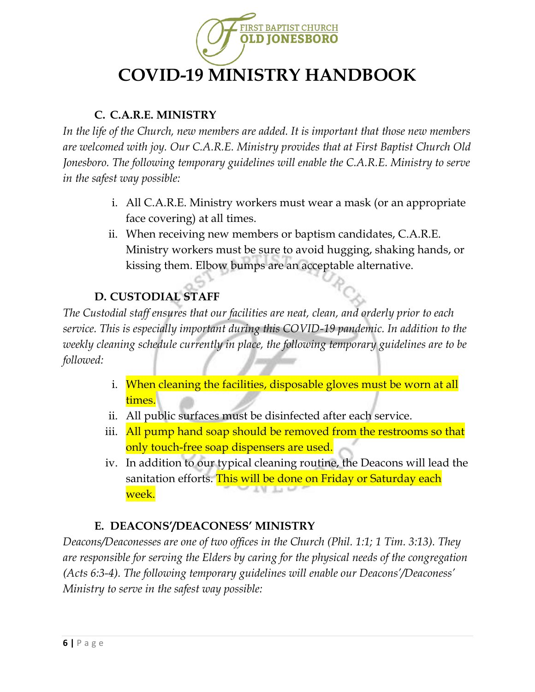

### **C. C.A.R.E. MINISTRY**

*In the life of the Church, new members are added. It is important that those new members are welcomed with joy. Our C.A.R.E. Ministry provides that at First Baptist Church Old Jonesboro. The following temporary guidelines will enable the C.A.R.E. Ministry to serve in the safest way possible:*

- i. All C.A.R.E. Ministry workers must wear a mask (or an appropriate face covering) at all times.
- ii. When receiving new members or baptism candidates, C.A.R.E. Ministry workers must be sure to avoid hugging, shaking hands, or kissing them. Elbow bumps are an acceptable alternative.

## **D. CUSTODIAL STAFF**

*The Custodial staff ensures that our facilities are neat, clean, and orderly prior to each service. This is especially important during this COVID-19 pandemic. In addition to the weekly cleaning schedule currently in place, the following temporary guidelines are to be followed:*

- i. When cleaning the facilities, disposable gloves must be worn at all times.
- ii. All public surfaces must be disinfected after each service.
- iii. All pump hand soap should be removed from the restrooms so that only touch-free soap dispensers are used.
- iv. In addition to our typical cleaning routine, the Deacons will lead the sanitation efforts. This will be done on Friday or Saturday each week.

#### **E. DEACONS'/DEACONESS' MINISTRY**

*Deacons/Deaconesses are one of two offices in the Church (Phil. 1:1; 1 Tim. 3:13). They are responsible for serving the Elders by caring for the physical needs of the congregation (Acts 6:3-4). The following temporary guidelines will enable our Deacons'/Deaconess' Ministry to serve in the safest way possible:*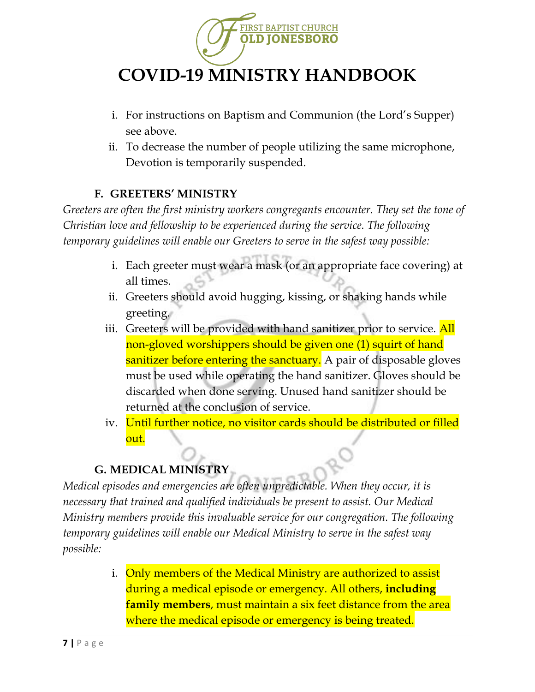

- i. For instructions on Baptism and Communion (the Lord's Supper) see above.
- ii. To decrease the number of people utilizing the same microphone, Devotion is temporarily suspended.

#### **F. GREETERS' MINISTRY**

*Greeters are often the first ministry workers congregants encounter. They set the tone of Christian love and fellowship to be experienced during the service. The following temporary guidelines will enable our Greeters to serve in the safest way possible:*

- i. Each greeter must wear a mask (or an appropriate face covering) at all times.
- ii. Greeters should avoid hugging, kissing, or shaking hands while greeting.
- iii. Greeters will be provided with hand sanitizer prior to service. All non-gloved worshippers should be given one (1) squirt of hand sanitizer before entering the sanctuary. A pair of disposable gloves must be used while operating the hand sanitizer. Gloves should be discarded when done serving. Unused hand sanitizer should be returned at the conclusion of service.
- iv. Until further notice, no visitor cards should be distributed or filled out.

## **G. MEDICAL MINISTRY**

*Medical episodes and emergencies are often unpredictable. When they occur, it is necessary that trained and qualified individuals be present to assist. Our Medical Ministry members provide this invaluable service for our congregation. The following temporary guidelines will enable our Medical Ministry to serve in the safest way possible:*

> i. Only members of the Medical Ministry are authorized to assist during a medical episode or emergency. All others, **including family members**, must maintain a six feet distance from the area where the medical episode or emergency is being treated.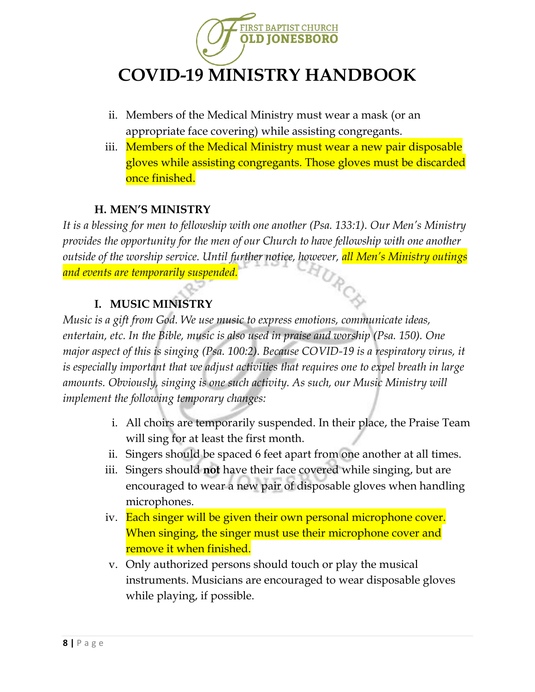

- ii. Members of the Medical Ministry must wear a mask (or an appropriate face covering) while assisting congregants.
- iii. Members of the Medical Ministry must wear a new pair disposable gloves while assisting congregants. Those gloves must be discarded once finished.

#### **H. MEN'S MINISTRY**

*It is a blessing for men to fellowship with one another (Psa. 133:1). Our Men's Ministry provides the opportunity for the men of our Church to have fellowship with one another outside of the worship service. Until further notice, however, all Men's Ministry outings and events are temporarily suspended.*

## **I. MUSIC MINISTRY**

*Music is a gift from God. We use music to express emotions, communicate ideas, entertain, etc. In the Bible, music is also used in praise and worship (Psa. 150). One major aspect of this is singing (Psa. 100:2). Because COVID-19 is a respiratory virus, it is especially important that we adjust activities that requires one to expel breath in large amounts. Obviously, singing is one such activity. As such, our Music Ministry will implement the following temporary changes:*

- i. All choirs are temporarily suspended. In their place, the Praise Team will sing for at least the first month.
- ii. Singers should be spaced 6 feet apart from one another at all times.
- iii. Singers should **not** have their face covered while singing, but are encouraged to wear a new pair of disposable gloves when handling microphones.
- iv. Each singer will be given their own personal microphone cover. When singing, the singer must use their microphone cover and remove it when finished.
- v. Only authorized persons should touch or play the musical instruments. Musicians are encouraged to wear disposable gloves while playing, if possible.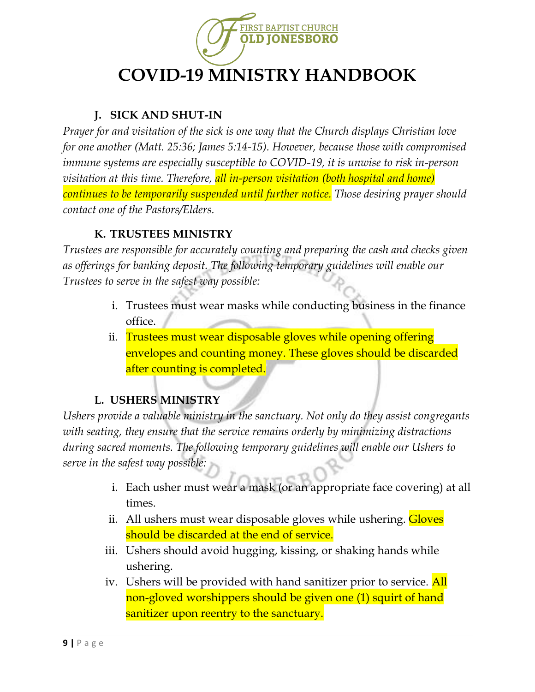

## **J. SICK AND SHUT-IN**

*Prayer for and visitation of the sick is one way that the Church displays Christian love for one another (Matt. 25:36; James 5:14-15). However, because those with compromised immune systems are especially susceptible to COVID-19, it is unwise to risk in-person visitation at this time. Therefore, all in-person visitation (both hospital and home) continues to be temporarily suspended until further notice. Those desiring prayer should contact one of the Pastors/Elders.*

### **K. TRUSTEES MINISTRY**

*Trustees are responsible for accurately counting and preparing the cash and checks given as offerings for banking deposit. The following temporary guidelines will enable our Trustees to serve in the safest way possible:*

- i. Trustees must wear masks while conducting business in the finance office.
- ii. Trustees must wear disposable gloves while opening offering envelopes and counting money. These gloves should be discarded after counting is completed.

## **L. USHERS MINISTRY**

*Ushers provide a valuable ministry in the sanctuary. Not only do they assist congregants with seating, they ensure that the service remains orderly by minimizing distractions during sacred moments. The following temporary guidelines will enable our Ushers to serve in the safest way possible:*

- i. Each usher must wear a mask (or an appropriate face covering) at all times.
- ii. All ushers must wear disposable gloves while ushering. **Gloves** should be discarded at the end of service.
- iii. Ushers should avoid hugging, kissing, or shaking hands while ushering.
- iv. Ushers will be provided with hand sanitizer prior to service. All non-gloved worshippers should be given one (1) squirt of hand sanitizer upon reentry to the sanctuary.